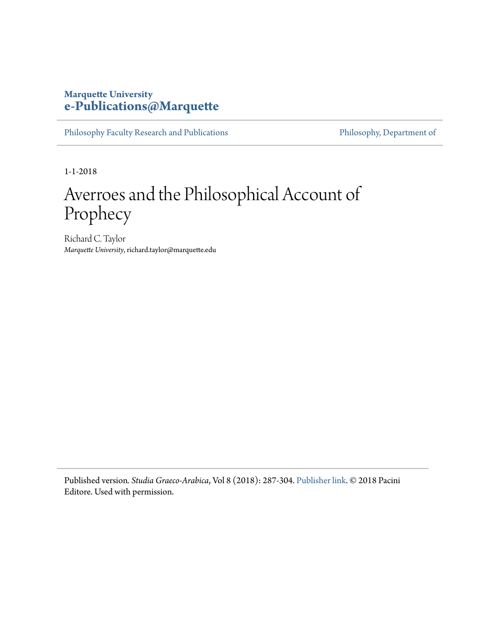## **Marquette University [e-Publications@Marquette](https://epublications.marquette.edu)**

[Philosophy Faculty Research and Publications](https://epublications.marquette.edu/phil_fac) [Philosophy, Department of](https://epublications.marquette.edu/philosophy)

1-1-2018

# Averroes and the Philosophical Account of Prophecy

Richard C. Taylor *Marquette University*, richard.taylor@marquette.edu

Published version*. Studia Graeco-Arabica*, Vol 8 (2018): 287-304. [Publisher link.](http://learningroads.cfs.unipi.it/sga-8-2018/) © 2018 Pacini Editore. Used with permission.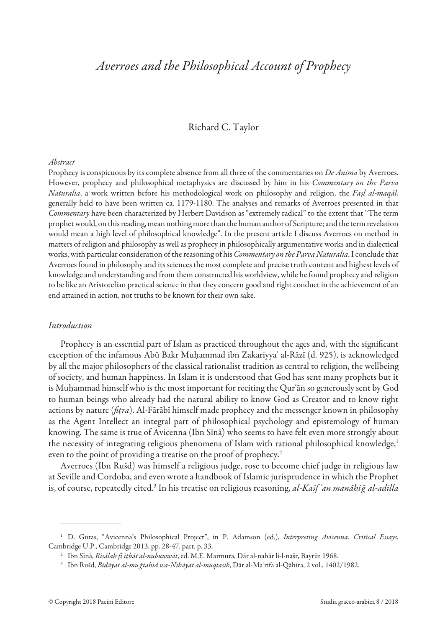## Averroes and the Philosophical Account of Prophecy

#### Richard C. Taylor

#### Abstract

Prophecy is conspicuous by its complete absence from all three of the commentaries on *De Anima* by Averroes. However, prophecy and philosophical metaphysics are discussed by him in his Commentary on the Parva Naturalia, a work written before his methodological work on philosophy and religion, the Faṣl al-maqāl, generally held to have been written ca. 1179-1180. The analyses and remarks of Averroes presented in that Commentary have been characterized by Herbert Davidson as "extremely radical" to the extent that "The term prophet would, on this reading, mean nothing more than the human author of Scripture; and the term revelation would mean a high level of philosophical knowledge". In the present article I discuss Averroes on method in matters of religion and philosophy as well as prophecy in philosophically argumentative works and in dialectical works, with particular consideration of the reasoning of his Commentary on the Parva Naturalia. I conclude that Averroes found in philosophy and its sciences the most complete and precise truth content and highest levels of knowledge and understanding and from them constructed his worldview, while he found prophecy and religion to be like an Aristotelian practical science in that they concern good and right conduct in the achievement of an end attained in action, not truths to be known for their own sake.

#### Introduction

Prophecy is an essential part of Islam as practiced throughout the ages and, with the significant exception of the infamous Abū Bakr Muḥammad ibn Zakariyyaʾ al-Rāzī (d. 925), is acknowledged by all the major philosophers of the classical rationalist tradition as central to religion, the wellbeing of society, and human happiness. In Islam it is understood that God has sent many prophets but it is Muḥammad himself who is the most important for reciting the Qurʾān so generously sent by God to human beings who already had the natural ability to know God as Creator and to know right actions by nature ( $fitra$ ). Al-Fārābī himself made prophecy and the messenger known in philosophy as the Agent Intellect an integral part of philosophical psychology and epistemology of human knowing. The same is true of Avicenna (Ibn Sīnā) who seems to have felt even more strongly about the necessity of integrating religious phenomena of Islam with rational philosophical knowledge,<sup>1</sup> even to the point of providing a treatise on the proof of prophecy.<sup>2</sup>

Averroes (Ibn Rušd) was himself a religious judge, rose to become chief judge in religious law at Seville and Cordoba, and even wrote a handbook of Islamic jurisprudence in which the Prophet is, of course, repeatedly cited.<sup>3</sup> In his treatise on religious reasoning, *al-Kašfʿan manāhiğ al-adilla* 

<sup>&</sup>lt;sup>1</sup> D. Gutas, "Avicenna's Philosophical Project", in P. Adamson (ed.), Interpreting Avicenna. Critical Essays, Cambridge U.P., Cambridge 2013, pp. 28-47, part. p. 33.

<sup>&</sup>lt;sup>2</sup> Ibn Sīnā, Risālah fī itbāt al-nubuwwāt, ed. M.E. Marmura, Dār al-nahār li-l-našr, Bayrūt 1968.

<sup>&</sup>lt;sup>3</sup> Ibn Rušd, Bidāyat al-mu *ğtahid wa-Nihāyat al-muqtasib*, Dār al-Maʿrifa al-Qāhira, 2 vol., 1402/1982.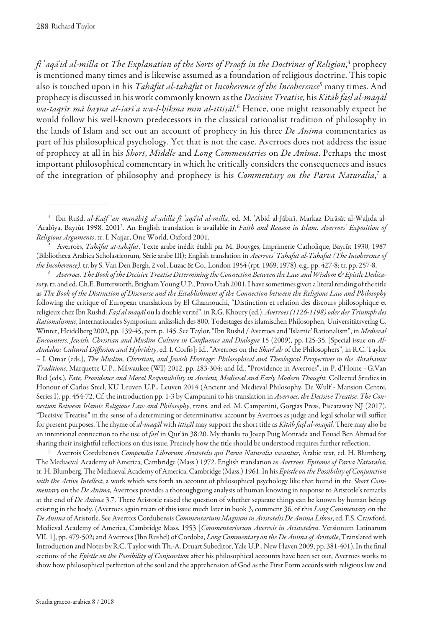fiʿaqāʾid al-milla or The Explanation of the Sorts of Proofs in the Doctrines of Religion,<sup>4</sup> prophecy is mentioned many times and is likewise assumed as a foundation of religious doctrine. This topic also is touched upon in his *Tahāfut al-tahāfut* or *Incoherence of the Incoherence*<sup>5</sup> many times. And prophecy is discussed in his work commonly known as the Decisive Treatise, his Kitāb faṣl al-maqāl wa-taqrīr mā bayna aš-šarīʿa wa-l-ḥikma min al-ittiṣāl.<sup>6</sup> Hence, one might reasonably expect he would follow his well-known predecessors in the classical rationalist tradition of philosophy in the lands of Islam and set out an account of prophecy in his three De Anima commentaries as part of his philosophical psychology. Yet that is not the case. Averroes does not address the issue of prophecy at all in his Short, Middle and Long Commentaries on De Anima. Perhaps the most important philosophical commentary in which he critically considers the consequences and issues of the integration of philosophy and prophecy is his *Commentary on the Parva Naturalia,*<sup>7</sup> a

 $^6$  Averroes. The Book of the Decisive Treatise Determining the Connection Between the Law and Wisdom & Epistle Dedicatory, tr. and ed. Ch.E. Butterworth, Brigham Young U.P., Provo Utah 2001. I have sometimes given a literal rending of the title as The Book of the Distinction of Discourse and the Establishment of the Connection between the Religious Law and Philosophy following the critique of European translations by El Ghannouchi, "Distinction et relation des discours philosophique et religieux chez Ibn Rushd: Fașl al magāl ou la double verité", in R.G. Khoury (ed.), Averroes (1126-1198) oder der Triumph des Rationalismus, Internationales Symposium anlässlich des 800. Todestages des islamischen Philosophen, Universitätsverlag C. Winter, Heidelberg 2002, pp. 139-45, part. p. 145. See Taylor, "Ibn Rushd / Averroes and 'Islamic' Rationalism", in Medieval Encounters. Jewish, Christian and Muslim Culture in Confluence and Dialogue 15 (2009), pp. 125-35. [Special issue on Al-Andalus: Cultural Diffusion and Hybridity, ed. I. Corfis]; Id., "Averroes on the Sharī<sup>'</sup>ah of the Philosophers", in R.C. Taylor – I. Omar (eds.), The Muslim, Christian, and Jewish Heritage: Philosophical and Theological Perspectives in the Abrahamic Traditions, Marquette U.P., Milwaukee (WI) 2012, pp. 283-304; and Id., "Providence in Averroes", in P. d'Hoine - G.Van Riel (eds.), Fate, Providence and Moral Responsibility in Ancient, Medieval and Early Modern Thought. Collected Studies in Honour of Carlos Steel, KU Leuven U.P., Leuven 2014 (Ancient and Medieval Philosophy, De Wulf - Mansion Centre, Series I), pp. 454-72. Cf. the introduction pp. 1-3 by Campanini to his translation in Averroes, the Decisive Treatise. The Connection Between Islamic Religious Law and Philosophy, trans. and ed. M. Campanini, Gorgias Press, Piscataway NJ (2017). "Decisive Treatise" in the sense of a determining or determinative account by Averroes as judge and legal scholar will suffice for present purposes. The rhyme of al-maqāl with ittisāl may support the short title as Kitāb faṣl al-maqāl. There may also be an intentional connection to the use of faṣl in Qurʿān 38:20. My thanks to Josep Puig Montada and Fouad Ben Ahmad for sharing their insightful relections on this issue. Precisely how the title should be understood requires further relection.

Averrois Cordubensis Compendia Librorum Aristotelis qui Parva Naturalia vocantur, Arabic text, ed. H. Blumberg, The Mediaeval Academy of America, Cambridge (Mass.) 1972. English translation as Averroes. Epitome of Parva Naturalia, tr. H. Blumberg, The Mediaeval Academy of America, Cambridge (Mass.) 1961. In his Epistle on the Possibility of Conjunction with the Active Intellect, a work which sets forth an account of philosophical psychology like that found in the Short Commentary on the De Anima, Averroes provides a thoroughgoing analysis of human knowing in response to Aristotle's remarks at the end of De Anima 3.7. There Aristotle raised the question of whether separate things can be known by human beings existing in the body. (Averroes again treats of this issue much later in book 3, comment 36, of this Long Commentary on the De Anima of Aristotle. See Averrois Cordubensis Commentarium Magnum in Aristotelis De Anima Libros, ed. F.S. Crawford, Medieval Academy of America, Cambridge Mass. 1953 [Commentariorum Averrois in Aristotelem. Versionum Latinarum VII, 1], pp. 479-502; and Averroes (Ibn Rushd) of Cordoba, Long Commentary on the De Anima of Aristotle, Translated with Introduction and Notes by R.C. Taylor with Th.-A. Druart Subeditor, Yale U.P., New Haven 2009, pp. 381-401). In the inal sections of the Epistle on the Possibility of Conjunction after his philosophical accounts have been set out, Averroes works to show how philosophical perfection of the soul and the apprehension of God as the First Form accords with religious law and

<sup>&</sup>lt;sup>4</sup> Ibn Rušd, *al-Kašf ʿan manāhiǧ al-adilla fī ʿaqāʾid al-milla*, ed. M. ʿĀbid al-Jābirī, Markaz Dirāsāt al-Waḥda al-ʿArabīya, Bayrūt 1998, 2001<sup>2</sup>. An English translation is available in *Faith and Reason in Islam. Averroes' Exposition of* Religious Arguments, tr. I. Najjar, One World, Oxford 2001.

<sup>5</sup> Averroès, Tahāfut at-tahāfut, Texte arabe inédit établi par M. Bouyges, Imprimerie Catholique, Bayrūt 1930, 1987 (Bibliotheca Arabica Scholasticorum, Série arabe III); English translation in Averroes' Tahafut al-Tahafut (The Incoherence of the Incoherence), tr. by S. Van Den Bergh, 2 vol., Luzac & Co., London 1954 (rpt. 1969, 1978), e.g., pp. 427-8; tr. pp. 257-8.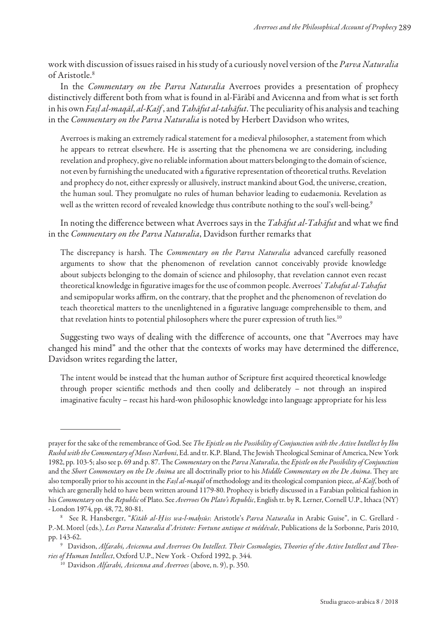work with discussion of issues raised in his study of a curiously novel version of the *Parva Naturalia* of Aristotle.<sup>8</sup>

In the Commentary on the Parva Naturalia Averroes provides a presentation of prophecy distinctively diferent both from what is found in al-Fārābī and Avicenna and from what is set forth in his own Fașl al-maqāl, al-Kašf, and Tahāfut al-tahāfut. The peculiarity of his analysis and teaching in the Commentary on the Parva Naturalia is noted by Herbert Davidson who writes,

Averroes is making an extremely radical statement for a medieval philosopher, a statement from which he appears to retreat elsewhere. He is asserting that the phenomena we are considering, including revelation and prophecy, give no reliable information about matters belonging to the domain of science, not even by furnishing the uneducated with a figurative representation of theoretical truths. Revelation and prophecy do not, either expressly or allusively, instruct mankind about God, the universe, creation, the human soul. They promulgate no rules of human behavior leading to eudaemonia. Revelation as well as the written record of revealed knowledge thus contribute nothing to the soul's well-being.<sup>9</sup>

In noting the difference between what Averroes says in the Tahafut al-Tahafut and what we find in the Commentary on the Parva Naturalia, Davidson further remarks that

The discrepancy is harsh. The *Commentary on the Parva Naturalia* advanced carefully reasoned arguments to show that the phenomenon of revelation cannot conceivably provide knowledge about subjects belonging to the domain of science and philosophy, that revelation cannot even recast theoretical knowledge in figurative images for the use of common people. Averroes' Tahafut al-Tahafut and semipopular works affirm, on the contrary, that the prophet and the phenomenon of revelation do teach theoretical matters to the unenlightened in a igurative language comprehensible to them, and that revelation hints to potential philosophers where the purer expression of truth lies.<sup>10</sup>

Suggesting two ways of dealing with the diference of accounts, one that "Averroes may have changed his mind" and the other that the contexts of works may have determined the diference, Davidson writes regarding the latter,

The intent would be instead that the human author of Scripture first acquired theoretical knowledge through proper scientiic methods and then coolly and deliberately – not through an inspired imaginative faculty – recast his hard-won philosophic knowledge into language appropriate for his less

prayer for the sake of the remembrance of God. See The Epistle on the Possibility of Conjunction with the Active Intellect by Ibn Rushd with the Commentary of Moses Narboni, Ed. and tr. K.P. Bland, The Jewish Theological Seminar of America, New York 1982, pp. 103-5; also see p. 69 and p. 87. The Commentary on the Parva Naturalia, the Epistle on the Possibility of Conjunction and the Short Commentary on the De Anima are all doctrinally prior to his Middle Commentary on the De Anima. They are also temporally prior to his account in the Faşl al-magal of methodology and its theological companion piece, al-Kašf, both of which are generally held to have been written around 1179-80. Prophecy is briely discussed in a Farabian political fashion in his Commentary on the Republic of Plato. See Averroes On Plato's Republic, English tr. by R. Lerner, Cornell U.P., Ithaca (NY) - London 1974, pp. 48, 72, 80-81.

<sup>&</sup>lt;sup>8</sup> See R. Hansberger, "Kitāb al-Ḥiss wa-l-maḥsūs: Aristotle's Parva Naturalia in Arabic Guise", in C. Grellard -P.-M. Morel (eds.), Les Parva Naturalia d'Aristote: Fortune antique et médévale, Publications de la Sorbonne, Paris 2010, pp. 143-62.

<sup>9</sup> Davidson, Alfarabi, Avicenna and Averroes On Intellect. Their Cosmologies, Theories of the Active Intellect and Theories of Human Intellect, Oxford U.P., New York - Oxford 1992, p. 344.

<sup>&</sup>lt;sup>10</sup> Davidson Alfarabi, Avicenna and Averroes (above, n. 9), p. 350.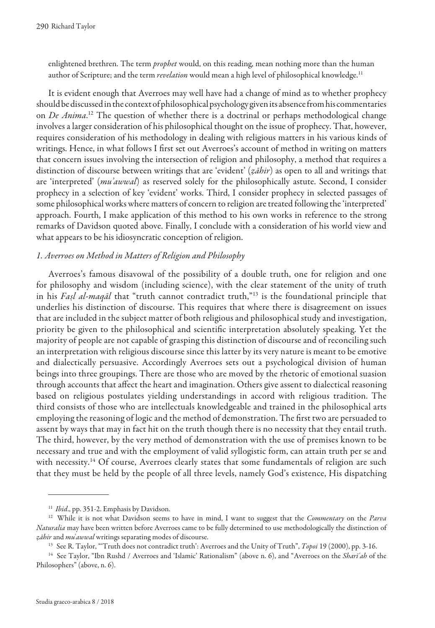enlightened brethren. The term *prophet* would, on this reading, mean nothing more than the human author of Scripture; and the term *revelation* would mean a high level of philosophical knowledge.<sup>11</sup>

It is evident enough that Averroes may well have had a change of mind as to whether prophecy should be discussed in the context of philosophical psychology given its absence from his commentaries on *De Anima*.<sup>12</sup> The question of whether there is a doctrinal or perhaps methodological change involves a larger consideration of his philosophical thought on the issue of prophecy. That, however, requires consideration of his methodology in dealing with religious matters in his various kinds of writings. Hence, in what follows I first set out Averroes's account of method in writing on matters that concern issues involving the intersection of religion and philosophy, a method that requires a distinction of discourse between writings that are 'evident' (ẓāhir) as open to all and writings that are 'interpreted' (mu'awwal) as reserved solely for the philosophically astute. Second, I consider prophecy in a selection of key 'evident' works. Third, I consider prophecy in selected passages of some philosophical works where matters of concern to religion are treated following the 'interpreted' approach. Fourth, I make application of this method to his own works in reference to the strong remarks of Davidson quoted above. Finally, I conclude with a consideration of his world view and what appears to be his idiosyncratic conception of religion.

#### 1. Averroes on Method in Matters of Religion and Philosophy

Averroes's famous disavowal of the possibility of a double truth, one for religion and one for philosophy and wisdom (including science), with the clear statement of the unity of truth in his Fașl al-maqāl that "truth cannot contradict truth,"<sup>13</sup> is the foundational principle that underlies his distinction of discourse. This requires that where there is disagreement on issues that are included in the subject matter of both religious and philosophical study and investigation, priority be given to the philosophical and scientiic interpretation absolutely speaking. Yet the majority of people are not capable of grasping this distinction of discourse and of reconciling such an interpretation with religious discourse since this latter by its very nature is meant to be emotive and dialectically persuasive. Accordingly Averroes sets out a psychological division of human beings into three groupings. There are those who are moved by the rhetoric of emotional suasion through accounts that afect the heart and imagination. Others give assent to dialectical reasoning based on religious postulates yielding understandings in accord with religious tradition. The third consists of those who are intellectuals knowledgeable and trained in the philosophical arts employing the reasoning of logic and the method of demonstration. The irst two are persuaded to assent by ways that may in fact hit on the truth though there is no necessity that they entail truth. The third, however, by the very method of demonstration with the use of premises known to be necessary and true and with the employment of valid syllogistic form, can attain truth per se and with necessity.<sup>14</sup> Of course, Averroes clearly states that some fundamentals of religion are such that they must be held by the people of all three levels, namely God's existence, His dispatching

<sup>&</sup>lt;sup>11</sup> Ibid., pp. 351-2. Emphasis by Davidson.

<sup>&</sup>lt;sup>12</sup> While it is not what Davidson seems to have in mind, I want to suggest that the Commentary on the Parva Naturalia may have been written before Averroes came to be fully determined to use methodologically the distinction of zāhir and mu'awwal writings separating modes of discourse.

<sup>&</sup>lt;sup>13</sup> See R. Taylor, "Truth does not contradict truth': Averroes and the Unity of Truth", *Topoi* 19 (2000), pp. 3-16.

<sup>&</sup>lt;sup>14</sup> See Taylor, "Ibn Rushd / Averroes and 'Islamic' Rationalism" (above n. 6), and "Averroes on the Sharī'ah of the Philosophers" (above, n. 6).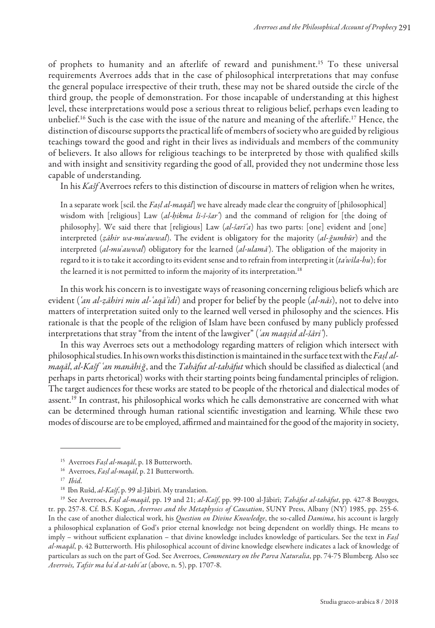of prophets to humanity and an afterlife of reward and punishment.<sup>15</sup> To these universal requirements Averroes adds that in the case of philosophical interpretations that may confuse the general populace irrespective of their truth, these may not be shared outside the circle of the third group, the people of demonstration. For those incapable of understanding at this highest level, these interpretations would pose a serious threat to religious belief, perhaps even leading to unbelief.<sup>16</sup> Such is the case with the issue of the nature and meaning of the afterlife.<sup>17</sup> Hence, the distinction of discourse supports the practical life of members of society who are guided by religious teachings toward the good and right in their lives as individuals and members of the community of believers. It also allows for religious teachings to be interpreted by those with qualiied skills and with insight and sensitivity regarding the good of all, provided they not undermine those less capable of understanding.

In his Kašf Averroes refers to this distinction of discourse in matters of religion when he writes,

In a separate work [scil. the Faṣl al-maqāl] we have already made clear the congruity of [philosophical] wisdom with [religious] Law (al-hikma li-š-šar) and the command of religion for [the doing of philosophy]. We said there that [religious] Law (al-šarī'a) has two parts: [one] evident and [one] interpreted (zāhir wa-mu'awwal). The evident is obligatory for the majority (al-ğumhūr) and the interpreted  $(al-mu'awwal)$  obligatory for the learned  $(al-ulamā')$ . The obligation of the majority in regard to it is to take it according to its evident sense and to refrain from interpreting it  $(ta'wila-hu)$ ; for the learned it is not permitted to inform the majority of its interpretation.<sup>18</sup>

In this work his concern is to investigate ways of reasoning concerning religious beliefs which are evident ('an al-zāhiri min al-'aqā'idi) and proper for belief by the people (al-nās), not to delve into matters of interpretation suited only to the learned well versed in philosophy and the sciences. His rationale is that the people of the religion of Islam have been confused by many publicly professed interpretations that stray "from the intent of the lawgiver" ('an maqsid al-šāri').

In this way Averroes sets out a methodology regarding matters of religion which intersect with philosophical studies. In his own works this distinction is maintained in the surface text with the Fasl almagāl, al-Kašf ʿan manāhiğ, and the Tahāfut al-tahāfut which should be classified as dialectical (and perhaps in parts rhetorical) works with their starting points being fundamental principles of religion. The target audiences for these works are stated to be people of the rhetorical and dialectical modes of assent.<sup>19</sup> In contrast, his philosophical works which he calls demonstrative are concerned with what can be determined through human rational scientific investigation and learning. While these two modes of discourse are to be employed, affirmed and maintained for the good of the majority in society,

<sup>&</sup>lt;sup>15</sup> Averroes Fașl al-maqāl, p. 18 Butterworth.

<sup>&</sup>lt;sup>16</sup> Averroes, Fașl al-maqāl, p. 21 Butterworth.

 $17$  Ibid.

<sup>&</sup>lt;sup>18</sup> Ibn Rušd, *al-Kašf*, p. 99 al-Jābirī. My translation.

<sup>&</sup>lt;sup>19</sup> See Averroes, Fașl al-maqāl, pp. 19 and 21; al-Kašf, pp. 99-100 al-Jābirī; Tahāfut al-tahāfut, pp. 427-8 Bouyges, tr. pp. 257-8. Cf. B.S. Kogan, Averroes and the Metaphysics of Causation, SUNY Press, Albany (NY) 1985, pp. 255-6. In the case of another dialectical work, his Question on Divine Knowledge, the so-called Damima, his account is largely a philosophical explanation of God's prior eternal knowledge not being dependent on worldly things. He means to imply – without sufficient explanation – that divine knowledge includes knowledge of particulars. See the text in  $Fasl$ al-maqāl, p. 42 Butterworth. His philosophical account of divine knowledge elsewhere indicates a lack of knowledge of particulars as such on the part of God. See Averroes, Commentary on the Parva Naturalia, pp. 74-75 Blumberg. Also see Averroès, Tafsir ma baʿd at-tabiʿat (above, n. 5), pp. 1707-8.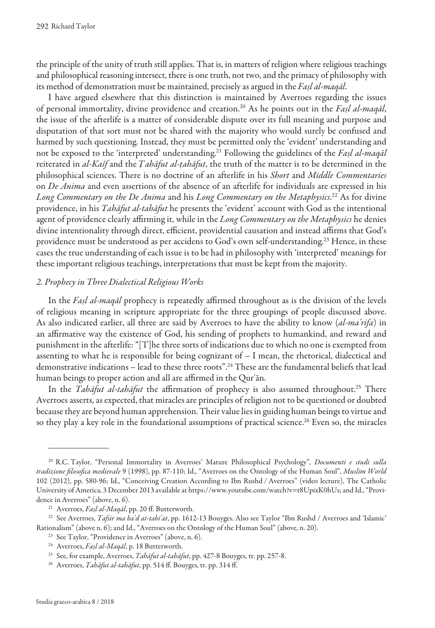the principle of the unity of truth still applies. That is, in matters of religion where religious teachings and philosophical reasoning intersect, there is one truth, not two, and the primacy of philosophy with its method of demonstration must be maintained, precisely as argued in the Fașl al-maqāl.

I have argued elsewhere that this distinction is maintained by Averroes regarding the issues of personal immortality, divine providence and creation.<sup>20</sup> As he points out in the Fașl al-maqāl, the issue of the afterlife is a matter of considerable dispute over its full meaning and purpose and disputation of that sort must not be shared with the majority who would surely be confused and harmed by such questioning. Instead, they must be permitted only the 'evident' understanding and not be exposed to the 'interpreted' understanding.<sup>21</sup> Following the guidelines of the Fașl al-maqāl reiterated in al-Kašf and the Tahāfut al-tahāfut, the truth of the matter is to be determined in the philosophical sciences. There is no doctrine of an afterlife in his Short and Middle Commentaries on De Anima and even assertions of the absence of an afterlife for individuals are expressed in his Long Commentary on the De Anima and his Long Commentary on the Metaphysics. <sup>22</sup> As for divine providence, in his Tahāfut al-tahāfut he presents the 'evident' account with God as the intentional agent of providence clearly affirming it, while in the Long Commentary on the Metaphysics he denies divine intentionality through direct, efficient, providential causation and instead affirms that God's providence must be understood as per accidens to God's own self-understanding.<sup>23</sup> Hence, in these cases the true understanding of each issue is to be had in philosophy with 'interpreted' meanings for these important religious teachings, interpretations that must be kept from the majority.

#### 2. Prophecy in Three Dialectical Religious Works

In the Faşl al-maqal prophecy is repeatedly affirmed throughout as is the division of the levels of religious meaning in scripture appropriate for the three groupings of people discussed above. As also indicated earlier, all three are said by Averroes to have the ability to know (al-maʿrifa) in an affirmative way the existence of God, his sending of prophets to humankind, and reward and punishment in the afterlife: "[T]he three sorts of indications due to which no one is exempted from assenting to what he is responsible for being cognizant of – I mean, the rhetorical, dialectical and demonstrative indications – lead to these three roots".<sup>24</sup> These are the fundamental beliefs that lead human beings to proper action and all are affirmed in the Our'an.

In the Tahāfut al-tahāfut the affirmation of prophecy is also assumed throughout.<sup>25</sup> There Averroes asserts, as expected, that miracles are principles of religion not to be questioned or doubted because they are beyond human apprehension. Their value lies in guiding human beings to virtue and so they play a key role in the foundational assumptions of practical science.<sup>26</sup> Even so, the miracles

<sup>&</sup>lt;sup>20</sup> R.C. Taylor, "Personal Immortality in Averroes' Mature Philosophical Psychology", *Documenti e studi sulla* tradizione filosofica medievale 9 (1998), pp. 87-110; Id., "Averroes on the Ontology of the Human Soul", Muslim World 102 (2012), pp. 580-96; Id., "Conceiving Creation According to Ibn Rushd / Averroes" (video lecture), The Catholic University of America, 3 December 2013 available at https://www.youtube.com/watch?v=t8UpixK0hUs; and Id., "Providence in Averroes" (above, n. 6).

<sup>&</sup>lt;sup>21</sup> Averroes, Fașl al-Maqāl, pp. 20 ff. Butterworth.

<sup>&</sup>lt;sup>22</sup> See Averroes, Tafsir ma ba'd at-tabi'at, pp. 1612-13 Bouyges. Also see Taylor "Ibn Rushd / Averroes and 'Islamic' Rationalism" (above n. 6); and Id., "Averroes on the Ontology of the Human Soul" (above, n. 20).

<sup>&</sup>lt;sup>23</sup> See Taylor, "Providence in Averroes" (above, n. 6).

<sup>&</sup>lt;sup>24</sup> Averroes, *Fasl al-Magāl*, p. 18 Butterworth.

<sup>&</sup>lt;sup>25</sup> See, for example, Averroes, *Tahāfut al-tahāfut*, pp. 427-8 Bouyges, tr. pp. 257-8.

<sup>&</sup>lt;sup>26</sup> Averroes, *Tahāfut al-tahāfut*, pp. 514 ff. Bouyges, tr. pp. 314 ff.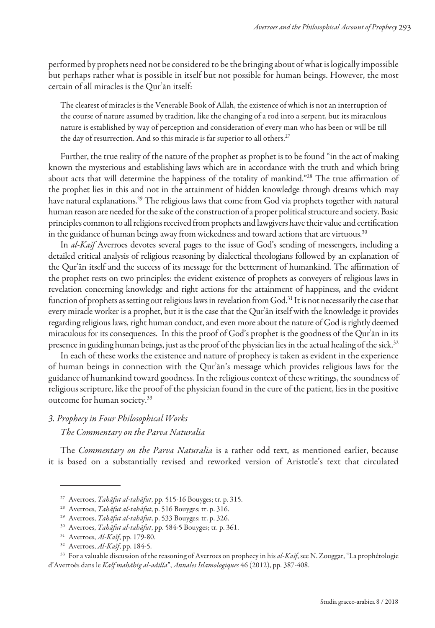performed by prophets need not be considered to be the bringing about of what is logically impossible but perhaps rather what is possible in itself but not possible for human beings. However, the most certain of all miracles is the Qurʾān itself:

The clearest of miracles is the Venerable Book of Allah, the existence of which is not an interruption of the course of nature assumed by tradition, like the changing of a rod into a serpent, but its miraculous nature is established by way of perception and consideration of every man who has been or will be till the day of resurrection. And so this miracle is far superior to all others.<sup>27</sup>

Further, the true reality of the nature of the prophet as prophet is to be found "in the act of making known the mysterious and establishing laws which are in accordance with the truth and which bring about acts that will determine the happiness of the totality of mankind."<sup>28</sup> The true affirmation of the prophet lies in this and not in the attainment of hidden knowledge through dreams which may have natural explanations.<sup>29</sup> The religious laws that come from God via prophets together with natural human reason are needed for the sake of the construction of a proper political structure and society. Basic principles common to all religions received from prophets and lawgivers have their value and certiication in the guidance of human beings away from wickedness and toward actions that are virtuous.<sup>30</sup>

In al-Kašf Averroes devotes several pages to the issue of God's sending of messengers, including a detailed critical analysis of religious reasoning by dialectical theologians followed by an explanation of the Qur'an itself and the success of its message for the betterment of humankind. The affirmation of the prophet rests on two principles: the evident existence of prophets as conveyers of religious laws in revelation concerning knowledge and right actions for the attainment of happiness, and the evident function of prophets as setting out religious laws in revelation from God.<sup>31</sup> It is not necessarily the case that every miracle worker is a prophet, but it is the case that the Qurʾān itself with the knowledge it provides regarding religious laws, right human conduct, and even more about the nature of God is rightly deemed miraculous for its consequences. In this the proof of God's prophet is the goodness of the Qurʾān in its presence in guiding human beings, just as the proof of the physician lies in the actual healing of the sick.<sup>32</sup>

In each of these works the existence and nature of prophecy is taken as evident in the experience of human beings in connection with the Qurʾān's message which provides religious laws for the guidance of humankind toward goodness. In the religious context of these writings, the soundness of religious scripture, like the proof of the physician found in the cure of the patient, lies in the positive outcome for human society.<sup>33</sup>

### 3. Prophecy in Four Philosophical Works

The Commentary on the Parva Naturalia

The Commentary on the Parva Naturalia is a rather odd text, as mentioned earlier, because it is based on a substantially revised and reworked version of Aristotle's text that circulated

<sup>33</sup> For a valuable discussion of the reasoning of Averroes on prophecy in his al-Kašf, see N. Zouggar, "La prophétologie d'Averroès dans le Kašf mahāhig al-adilla", Annales Islamologiques 46 (2012), pp. 387-408.

<sup>&</sup>lt;sup>27</sup> Averroes, *Tahāfut al-tahāfut*, pp. 515-16 Bouyges; tr. p. 315.

<sup>&</sup>lt;sup>28</sup> Averroes, Tahāfut al-tahāfut, p. 516 Bouyges; tr. p. 316.

<sup>&</sup>lt;sup>29</sup> Averroes, Tahāfut al-tahāfut, p. 533 Bouyges; tr. p. 326.

<sup>&</sup>lt;sup>30</sup> Averroes, Tahāfut al-tahāfut, pp. 584-5 Bouyges; tr. p. 361.

 $31$  Averroes, Al-Kašf, pp. 179-80.

 $32$  Averroes, *Al-Kašf*, pp. 184-5.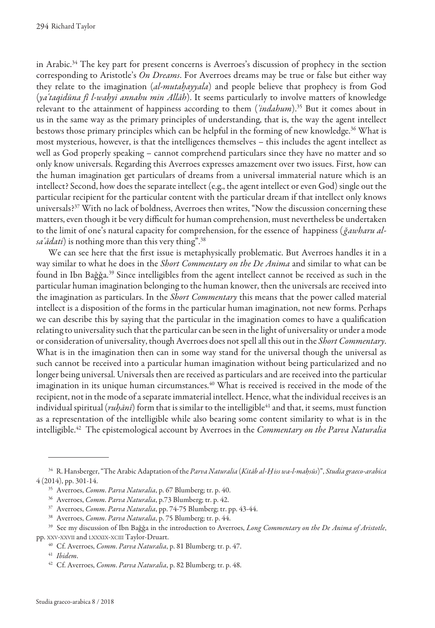in Arabic.<sup>34</sup> The key part for present concerns is Averroes's discussion of prophecy in the section corresponding to Aristotle's *On Dreams*. For Averroes dreams may be true or false but either way they relate to the imagination (al-mutaḫayyala) and people believe that prophecy is from God (yaʿtaqidūna fī l-waḥyi annahu min Allāh). It seems particularly to involve matters of knowledge relevant to the attainment of happiness according to them  $(indabum)$ .<sup>35</sup> But it comes about in us in the same way as the primary principles of understanding, that is, the way the agent intellect bestows those primary principles which can be helpful in the forming of new knowledge.<sup>36</sup> What is most mysterious, however, is that the intelligences themselves – this includes the agent intellect as well as God properly speaking – cannot comprehend particulars since they have no matter and so only know universals. Regarding this Averroes expresses amazement over two issues. First, how can the human imagination get particulars of dreams from a universal immaterial nature which is an intellect? Second, how does the separate intellect (e.g., the agent intellect or even God) single out the particular recipient for the particular content with the particular dream if that intellect only knows universals?<sup>37</sup> With no lack of boldness, Averroes then writes, "Now the discussion concerning these matters, even though it be very difficult for human comprehension, must nevertheless be undertaken to the limit of one's natural capacity for comprehension, for the essence of happiness (ğawharu alsa'adati) is nothing more than this very thing".<sup>38</sup>

We can see here that the first issue is metaphysically problematic. But Averroes handles it in a way similar to what he does in the Short Commentary on the De Anima and similar to what can be found in Ibn Bağğa.<sup>39</sup> Since intelligibles from the agent intellect cannot be received as such in the particular human imagination belonging to the human knower, then the universals are received into the imagination as particulars. In the *Short Commentary* this means that the power called material intellect is a disposition of the forms in the particular human imagination, not new forms. Perhaps we can describe this by saying that the particular in the imagination comes to have a qualification relating to universality such that the particular can be seen in the light of universality or under a mode or consideration of universality, though Averroes does not spell all this out in the Short Commentary. What is in the imagination then can in some way stand for the universal though the universal as such cannot be received into a particular human imagination without being particularized and no longer being universal. Universals then are received as particulars and are received into the particular imagination in its unique human circumstances.<sup>40</sup> What is received is received in the mode of the recipient, not in the mode of a separate immaterial intellect. Hence, what the individual receives is an individual spiritual (*ruḥānī*) form that is similar to the intelligible<sup>41</sup> and that, it seems, must function as a representation of the intelligible while also bearing some content similarity to what is in the intelligible.<sup>42</sup> The epistemological account by Averroes in the *Commentary on the Parva Naturalia* 

<sup>&</sup>lt;sup>34</sup> R. Hansberger, "The Arabic Adaptation of the Parva Naturalia (Kitāb al-Ḥiss wa-l-maḥsūs)", Studia graeco-arabica 4 (2014), pp. 301-14.

<sup>&</sup>lt;sup>35</sup> Averroes, *Comm. Parva Naturalia*, p. 67 Blumberg; tr. p. 40.

<sup>&</sup>lt;sup>36</sup> Averroes, *Comm. Parva Naturalia*, p.73 Blumberg; tr. p. 42.

<sup>&</sup>lt;sup>37</sup> Averroes, *Comm. Parva Naturalia*, pp. 74-75 Blumberg; tr. pp. 43-44.

<sup>&</sup>lt;sup>38</sup> Averroes, Comm. Parva Naturalia, p. 75 Blumberg; tr. p. 44.

<sup>&</sup>lt;sup>39</sup> See my discussion of Ibn Baǧǧa in the introduction to Averroes, Long Commentary on the De Anima of Aristotle, pp. XXV-XXVII and LXXXIX-XCIII Taylor-Druart.

 $^{40}$  Cf. Averroes, *Comm. Parva Naturalia*, p. 81 Blumberg; tr. p. 47.

<sup>&</sup>lt;sup>41</sup> Ibidem.

<sup>&</sup>lt;sup>42</sup> Cf. Averroes, *Comm. Parva Naturalia*, p. 82 Blumberg; tr. p. 48.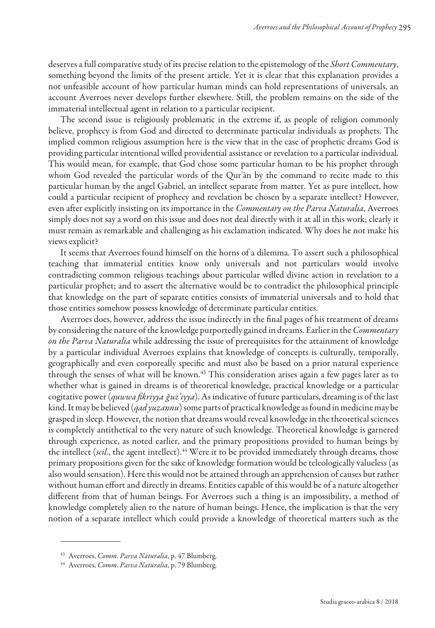deserves a full comparative study of its precise relation to the epistemology of the Short Commentary, something beyond the limits of the present article. Yet it is clear that this explanation provides a not unfeasible account of how particular human minds can hold representations of universals, an account Averroes never develops further elsewhere. Still, the problem remains on the side of the immaterial intellectual agent in relation to a particular recipient.

The second issue is religiously problematic in the extreme if, as people of religion commonly believe, prophecy is from God and directed to determinate particular individuals as prophets. The implied common religious assumption here is the view that in the case of prophetic dreams God is providing particular intentional willed providential assistance or revelation to a particular individual. This would mean, for example, that God chose some particular human to be his prophet through whom God revealed the particular words of the Qurʾān by the command to recite made to this particular human by the angel Gabriel, an intellect separate from matter. Yet as pure intellect, how could a particular recipient of prophecy and revelation be chosen by a separate intellect? However, even after explicitly insisting on its importance in the *Commentary on the Parva Naturalia*, Averroes simply does not say a word on this issue and does not deal directly with it at all in this work; clearly it must remain as remarkable and challenging as his exclamation indicated. Why does he not make his views explicit?

It seems that Averroes found himself on the horns of a dilemma. To assert such a philosophical teaching that immaterial entities know only universals and not particulars would involve contradicting common religious teachings about particular willed divine action in revelation to a particular prophet; and to assert the alternative would be to contradict the philosophical principle that knowledge on the part of separate entities consists of immaterial universals and to hold that those entities somehow possess knowledge of determinate particular entities.

Averroes does, however, address the issue indirectly in the final pages of his treatment of dreams by considering the nature of the knowledge purportedly gained in dreams. Earlier in the Commentary on the Parva Naturalia while addressing the issue of prerequisites for the attainment of knowledge by a particular individual Averroes explains that knowledge of concepts is culturally, temporally, geographically and even corporeally speciic and must also be based on a prior natural experience through the senses of what will be known.<sup>43</sup> This consideration arises again a few pages later as to whether what is gained in dreams is of theoretical knowledge, practical knowledge or a particular cogitative power (quwwa fikriyya ğuz'iyya). As indicative of future particulars, dreaming is of the last kind. It may be believed (*qad yuẓannu*) some parts of practical knowledge as found in medicine may be grasped in sleep. However, the notion that dreams would reveal knowledge in the theoretical sciences is completely antithetical to the very nature of such knowledge. Theoretical knowledge is garnered through experience, as noted earlier, and the primary propositions provided to human beings by the intellect (*scil.*, the agent intellect).<sup>44</sup> Were it to be provided immediately through dreams, those primary propositions given for the sake of knowledge formation would be teleologically valueless (as also would sensation). Here this would not be attained through an apprehension of causes but rather without human efort and directly in dreams. Entities capable of this would be of a nature altogether diferent from that of human beings. For Averroes such a thing is an impossibility, a method of knowledge completely alien to the nature of human beings. Hence, the implication is that the very notion of a separate intellect which could provide a knowledge of theoretical matters such as the

<sup>&</sup>lt;sup>43</sup> Averroes, Comm. Parva Naturalia, p. 47 Blumberg.

<sup>&</sup>lt;sup>44</sup> Averroes, Comm. Parva Naturalia, p. 79 Blumberg.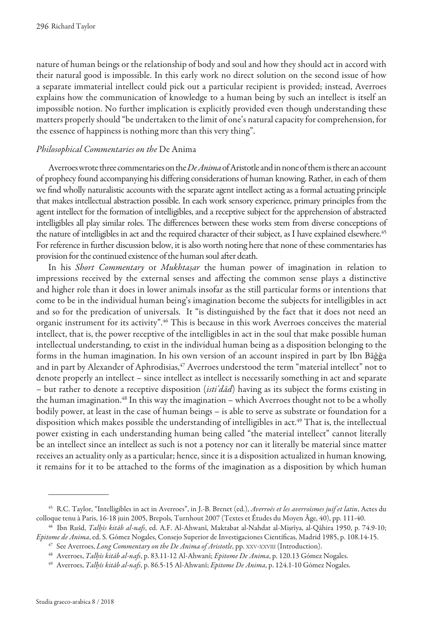nature of human beings or the relationship of body and soul and how they should act in accord with their natural good is impossible. In this early work no direct solution on the second issue of how a separate immaterial intellect could pick out a particular recipient is provided; instead, Averroes explains how the communication of knowledge to a human being by such an intellect is itself an impossible notion. No further implication is explicitly provided even though understanding these matters properly should "be undertaken to the limit of one's natural capacity for comprehension, for the essence of happiness is nothing more than this very thing".

#### Philosophical Commentaries on the De Anima

Averroes wrote three commentaries on the  $De\,Animal$  of Aristotle and in none of them is there an account of prophecy found accompanying his difering considerations of human knowing. Rather, in each of them we find wholly naturalistic accounts with the separate agent intellect acting as a formal actuating principle that makes intellectual abstraction possible. In each work sensory experience, primary principles from the agent intellect for the formation of intelligibles, and a receptive subject for the apprehension of abstracted intelligibles all play similar roles. The diferences between these works stem from diverse conceptions of the nature of intelligibles in act and the required character of their subject, as I have explained elsewhere.<sup>45</sup> For reference in further discussion below, it is also worth noting here that none of these commentaries has provision for the continued existence of the human soul after death.

In his Short Commentary or Mukhtasar the human power of imagination in relation to impressions received by the external senses and afecting the common sense plays a distinctive and higher role than it does in lower animals insofar as the still particular forms or intentions that come to be in the individual human being's imagination become the subjects for intelligibles in act and so for the predication of universals. It "is distinguished by the fact that it does not need an organic instrument for its activity".<sup>46</sup> This is because in this work Averroes conceives the material intellect, that is, the power receptive of the intelligibles in act in the soul that make possible human intellectual understanding, to exist in the individual human being as a disposition belonging to the forms in the human imagination. In his own version of an account inspired in part by Ibn Bāǧǧa and in part by Alexander of Aphrodisias,<sup>47</sup> Averroes understood the term "material intellect" not to denote properly an intellect – since intellect as intellect is necessarily something in act and separate – but rather to denote a receptive disposition (isti'dad) having as its subject the forms existing in the human imagination.<sup>48</sup> In this way the imagination – which Averroes thought not to be a wholly bodily power, at least in the case of human beings – is able to serve as substrate or foundation for a disposition which makes possible the understanding of intelligibles in act.<sup>49</sup> That is, the intellectual power existing in each understanding human being called "the material intellect" cannot literally be an intellect since an intellect as such is not a potency nor can it literally be material since matter receives an actuality only as a particular; hence, since it is a disposition actualized in human knowing, it remains for it to be attached to the forms of the imagination as a disposition by which human

<sup>&</sup>lt;sup>45</sup> R.C. Taylor, "Intelligibles in act in Averroes", in J.-B. Brenet (ed.), Averroès et les averroïsmes juif et latin, Actes du colloque tenu à Paris, 16-18 juin 2005, Brepols, Turnhout 2007 (Textes et Études du Moyen Âge, 40), pp. 111-40.

<sup>&</sup>lt;sup>46</sup> Ibn Rušd, Talhīs kitāb al-nafs, ed. A.F. Al-Ahwanī, Maktabat al-Nahdat al-Miṣrīya, al-Qāhira 1950, p. 74.9-10; Epitome de Anima, ed. S. Gómez Nogales, Consejo Superior de Investigaciones Científicas, Madrid 1985, p. 108.14-15.

 $47$  See Averroes, Long Commentary on the De Anima of Aristotle, pp. XXV-XXVIII (Introduction).

<sup>&</sup>lt;sup>48</sup> Averroes, Talhūs kitāb al-nafs, p. 83.11-12 Al-Ahwanī; Epitome De Anima, p. 120.13 Gómez Nogales.

<sup>&</sup>lt;sup>49</sup> Averroes, *Talhīs kitāb al-nafs*, p. 86.5-15 Al-Ahwanī; *Epitome De Anima*, p. 124.1-10 Gómez Nogales.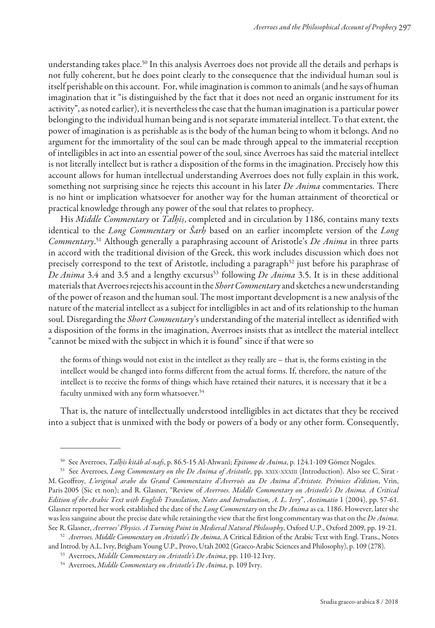understanding takes place.<sup>50</sup> In this analysis Averroes does not provide all the details and perhaps is not fully coherent, but he does point clearly to the consequence that the individual human soul is itself perishable on this account. For, while imagination is common to animals (and he says of human imagination that it "is distinguished by the fact that it does not need an organic instrument for its activity", as noted earlier), it is nevertheless the case that the human imagination is a particular power belonging to the individual human being and is not separate immaterial intellect. To that extent, the power of imagination is as perishable as is the body of the human being to whom it belongs. And no argument for the immortality of the soul can be made through appeal to the immaterial reception of intelligibles in act into an essential power of the soul, since Averroes has said the material intellect is not literally intellect but is rather a disposition of the forms in the imagination. Precisely how this account allows for human intellectual understanding Averroes does not fully explain in this work, something not surprising since he rejects this account in his later De Anima commentaries. There is no hint or implication whatsoever for another way for the human attainment of theoretical or practical knowledge through any power of the soul that relates to prophecy.

His Middle Commentary or Talhiş, completed and in circulation by 1186, contains many texts identical to the Long Commentary or Šarh based on an earlier incomplete version of the Long Commentary.<sup>51</sup> Although generally a paraphrasing account of Aristotle's *De Anima* in three parts in accord with the traditional division of the Greek, this work includes discussion which does not precisely correspond to the text of Aristotle, including a paragraph<sup>52</sup> just before his paraphrase of De Anima 3.4 and 3.5 and a lengthy excursus<sup>53</sup> following De Anima 3.5. It is in these additional materials that Averroes rejects his account in the Short Commentary and sketches a new understanding of the power of reason and the human soul. The most important development is a new analysis of the nature of the material intellect as a subject for intelligibles in act and of its relationship to the human soul. Disregarding the *Short Commentary'*s understanding of the material intellect as identified with a disposition of the forms in the imagination, Averroes insists that as intellect the material intellect "cannot be mixed with the subject in which it is found" since if that were so

the forms of things would not exist in the intellect as they really are – that is, the forms existing in the intellect would be changed into forms diferent from the actual forms. If, therefore, the nature of the intellect is to receive the forms of things which have retained their natures, it is necessary that it be a faculty unmixed with any form whatsoever.<sup>54</sup>

That is, the nature of intellectually understood intelligibles in act dictates that they be received into a subject that is unmixed with the body or powers of a body or any other form. Consequently,

<sup>&</sup>lt;sup>50</sup> See Averroes, *Talhīs kitāb al-nafs*, p. 86.5-15 Al-Ahwanī; *Epitome de Anima*, p. 124.1-109 Gómez Nogales.

<sup>&</sup>lt;sup>51</sup> See Averroes, Long Commentary on the De Anima of Aristotle, pp. XXIX-XXXIII (Introduction). Also see C. Sirat -M. Geofroy, L'original arabe du Grand Commentaire d' Averroès au De Anima d' Aristote. Prémices d'édition, Vrin, Paris 2005 (Sic et non); and R. Glasner, "Review of Averroes. Middle Commentary on Aristotle's De Anima. A Critical Edition of the Arabic Text with English Translation, Notes and Introduction, A. L. Ivry", Aestimatio 1 (2004), pp. 57-61. Glasner reported her work established the date of the Long Commentary on the De Anima as ca. 1186. However, later she was less sanguine about the precise date while retaining the view that the first long commentary was that on the De Anima. See R. Glasner, Averroes' Physics. A Turning Point in Medieval Natural Philosophy, Oxford U.P., Oxford 2009, pp. 19-21.

<sup>52</sup> Averroes. Middle Commentary on Aristotle's De Anima, A Critical Edition of the Arabic Text with Engl. Trans., Notes and Introd. by A.L. Ivry, Brigham Young U.P., Provo, Utah 2002 (Graeco-Arabic Sciences and Philosophy), p. 109 (278).

<sup>53</sup> Averroes, Middle Commentary on Aristotle's De Anima, pp. 110-12 Ivry.

<sup>&</sup>lt;sup>54</sup> Averroes, Middle Commentary on Aristotle's De Anima, p. 109 Ivry.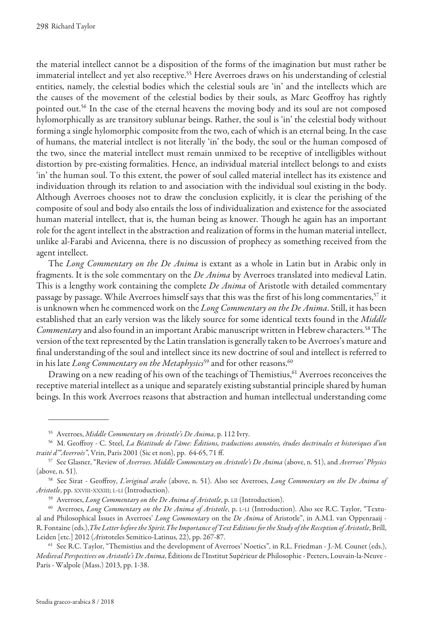the material intellect cannot be a disposition of the forms of the imagination but must rather be immaterial intellect and yet also receptive.<sup>55</sup> Here Averroes draws on his understanding of celestial entities, namely, the celestial bodies which the celestial souls are 'in' and the intellects which are the causes of the movement of the celestial bodies by their souls, as Marc Geofroy has rightly pointed out.<sup>56</sup> In the case of the eternal heavens the moving body and its soul are not composed hylomorphically as are transitory sublunar beings. Rather, the soul is 'in' the celestial body without forming a single hylomorphic composite from the two, each of which is an eternal being. In the case of humans, the material intellect is not literally 'in' the body, the soul or the human composed of the two, since the material intellect must remain unmixed to be receptive of intelligibles without distortion by pre-existing formalities. Hence, an individual material intellect belongs to and exists 'in' the human soul. To this extent, the power of soul called material intellect has its existence and individuation through its relation to and association with the individual soul existing in the body. Although Averroes chooses not to draw the conclusion explicitly, it is clear the perishing of the composite of soul and body also entails the loss of individualization and existence for the associated human material intellect, that is, the human being as knower. Though he again has an important role for the agent intellect in the abstraction and realization of forms in the human material intellect, unlike al-Farabi and Avicenna, there is no discussion of prophecy as something received from the agent intellect.

The Long Commentary on the De Anima is extant as a whole in Latin but in Arabic only in fragments. It is the sole commentary on the De Anima by Averroes translated into medieval Latin. This is a lengthy work containing the complete De Anima of Aristotle with detailed commentary passage by passage. While Averroes himself says that this was the first of his long commentaries,<sup>57</sup> it is unknown when he commenced work on the Long Commentary on the De Anima. Still, it has been established that an early version was the likely source for some identical texts found in the Middle Commentary and also found in an important Arabic manuscript written in Hebrew characters.<sup>58</sup> The version of the text represented by the Latin translation is generally taken to be Averroes's mature and final understanding of the soul and intellect since its new doctrine of soul and intellect is referred to in his late Long Commentary on the Metaphysics<sup>59</sup> and for other reasons.<sup>60</sup>

Drawing on a new reading of his own of the teachings of Themistius,<sup>61</sup> Averroes reconceives the receptive material intellect as a unique and separately existing substantial principle shared by human beings. In this work Averroes reasons that abstraction and human intellectual understanding come

<sup>&</sup>lt;sup>55</sup> Averroes, Middle Commentary on Aristotle's De Anima, p. 112 Ivry.

<sup>56</sup> M. Geoffroy - C. Steel, La Béatitude de l'âme: Éditions, traductions annotées, études doctrinales et historiques d'un traité d'"Averroès", Vrin, Paris 2001 (Sic et non), pp. 64-65, 71 ff.

<sup>&</sup>lt;sup>57</sup> See Glasner, "Review of Averroes. Middle Commentary on Aristotle's De Anima (above, n. 51), and Averroes' Physics (above, n. 51).

<sup>&</sup>lt;sup>58</sup> See Sirat - Geoffroy, L'original arabe (above, n. 51). Also see Averroes, Long Commentary on the De Anima of Aristotle, pp. XXVIII-XXXIII; L-LI (Introduction).

<sup>&</sup>lt;sup>59</sup> Averroes, *Long Commentary on the De Anima of Aristotle*, p. LII (Introduction).

<sup>&</sup>lt;sup>60</sup> Averroes, Long Commentary on the De Anima of Aristotle, p. L-LI (Introduction). Also see R.C. Taylor, "Textual and Philosophical Issues in Averroes' Long Commentary on the De Anima of Aristotle", in A.M.I. van Oppenraaij -R. Fontaine (eds.), The Letter before the Spirit. The Importance of Text Editions for the Study of the Reception of Aristotle, Brill, Leiden [etc.] 2012 (Aristoteles Semitico-Latinus, 22), pp. 267-87.

 $61$  See R.C. Taylor, "Themistius and the development of Averroes' Noetics", in R.L. Friedman - J.-M. Counet (eds.), Medieval Perspectives on Aristotle's De Anima, Éditions de l'Institut Supérieur de Philosophie - Peeters, Louvain-la-Neuve - Paris - Walpole (Mass.) 2013, pp. 1-38.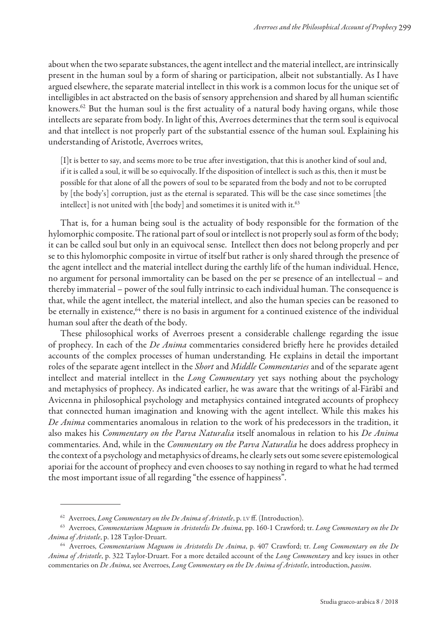about when the two separate substances, the agent intellect and the material intellect, are intrinsically present in the human soul by a form of sharing or participation, albeit not substantially. As I have argued elsewhere, the separate material intellect in this work is a common locus for the unique set of intelligibles in act abstracted on the basis of sensory apprehension and shared by all human scientiic knowers.<sup>62</sup> But the human soul is the first actuality of a natural body having organs, while those intellects are separate from body. In light of this, Averroes determines that the term soul is equivocal and that intellect is not properly part of the substantial essence of the human soul. Explaining his understanding of Aristotle, Averroes writes,

[I]t is better to say, and seems more to be true after investigation, that this is another kind of soul and, if it is called a soul, it will be so equivocally. If the disposition of intellect is such as this, then it must be possible for that alone of all the powers of soul to be separated from the body and not to be corrupted by [the body's] corruption, just as the eternal is separated. This will be the case since sometimes [the intellect] is not united with  $[the body]$  and sometimes it is united with it.<sup>63</sup>

That is, for a human being soul is the actuality of body responsible for the formation of the hylomorphic composite. The rational part of soul or intellect is not properly soul as form of the body; it can be called soul but only in an equivocal sense. Intellect then does not belong properly and per se to this hylomorphic composite in virtue of itself but rather is only shared through the presence of the agent intellect and the material intellect during the earthly life of the human individual. Hence, no argument for personal immortality can be based on the per se presence of an intellectual – and thereby immaterial – power of the soul fully intrinsic to each individual human. The consequence is that, while the agent intellect, the material intellect, and also the human species can be reasoned to be eternally in existence,<sup>64</sup> there is no basis in argument for a continued existence of the individual human soul after the death of the body.

These philosophical works of Averroes present a considerable challenge regarding the issue of prophecy. In each of the De Anima commentaries considered briefly here he provides detailed accounts of the complex processes of human understanding. He explains in detail the important roles of the separate agent intellect in the Short and Middle Commentaries and of the separate agent intellect and material intellect in the Long Commentary yet says nothing about the psychology and metaphysics of prophecy. As indicated earlier, he was aware that the writings of al-Fārābī and Avicenna in philosophical psychology and metaphysics contained integrated accounts of prophecy that connected human imagination and knowing with the agent intellect. While this makes his De Anima commentaries anomalous in relation to the work of his predecessors in the tradition, it also makes his *Commentary on the Parva Naturalia* itself anomalous in relation to his De Anima commentaries. And, while in the *Commentary on the Parva Naturalia* he does address prophecy in the context of a psychology and metaphysics of dreams, he clearly sets out some severe epistemological aporiai for the account of prophecy and even chooses to say nothing in regard to what he had termed the most important issue of all regarding "the essence of happiness".

 $62$  Averroes, Long Commentary on the De Anima of Aristotle, p. LV ff. (Introduction).

<sup>&</sup>lt;sup>63</sup> Averroes, Commentarium Magnum in Aristotelis De Anima, pp. 160-1 Crawford; tr. Long Commentary on the De Anima of Aristotle, p. 128 Taylor-Druart.

<sup>&</sup>lt;sup>64</sup> Averroes, Commentarium Magnum in Aristotelis De Anima, p. 407 Crawford; tr. Long Commentary on the De Anima of Aristotle, p. 322 Taylor-Druart. For a more detailed account of the Long Commentary and key issues in other commentaries on De Anima, see Averroes, Long Commentary on the De Anima of Aristotle, introduction, passim.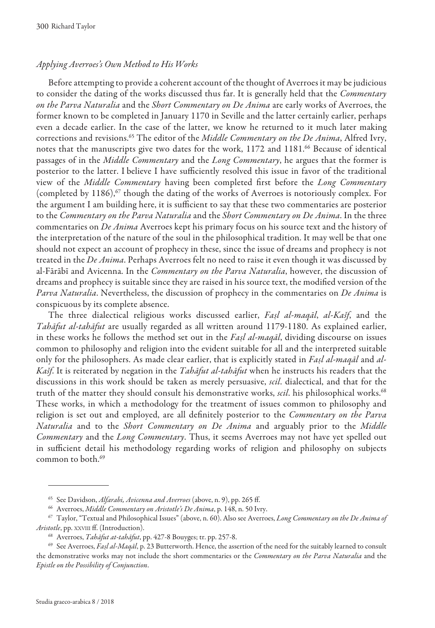#### Applying Averroes's Own Method to His Works

Before attempting to provide a coherent account of the thought of Averroes it may be judicious to consider the dating of the works discussed thus far. It is generally held that the Commentary on the Parva Naturalia and the Short Commentary on De Anima are early works of Averroes, the former known to be completed in January 1170 in Seville and the latter certainly earlier, perhaps even a decade earlier. In the case of the latter, we know he returned to it much later making corrections and revisions.<sup>65</sup> The editor of the Middle Commentary on the De Anima, Alfred Ivry, notes that the manuscripts give two dates for the work, 1172 and 1181.<sup>66</sup> Because of identical passages of in the Middle Commentary and the Long Commentary, he argues that the former is posterior to the latter. I believe I have sufficiently resolved this issue in favor of the traditional view of the Middle Commentary having been completed first before the Long Commentary (completed by  $1186$ ),<sup>67</sup> though the dating of the works of Averroes is notoriously complex. For the argument I am building here, it is sufficient to say that these two commentaries are posterior to the Commentary on the Parva Naturalia and the Short Commentary on De Anima. In the three commentaries on De Anima Averroes kept his primary focus on his source text and the history of the interpretation of the nature of the soul in the philosophical tradition. It may well be that one should not expect an account of prophecy in these, since the issue of dreams and prophecy is not treated in the De Anima. Perhaps Averroes felt no need to raise it even though it was discussed by al-Fārābī and Avicenna. In the *Commentary on the Parva Naturalia*, however, the discussion of dreams and prophecy is suitable since they are raised in his source text, the modified version of the Parva Naturalia. Nevertheless, the discussion of prophecy in the commentaries on De Anima is conspicuous by its complete absence.

The three dialectical religious works discussed earlier, Faṣl al-maqāl, al-Kašf, and the Tahāfut al-tahāfut are usually regarded as all written around 1179-1180. As explained earlier, in these works he follows the method set out in the Fasl al-maqal, dividing discourse on issues common to philosophy and religion into the evident suitable for all and the interpreted suitable only for the philosophers. As made clear earlier, that is explicitly stated in Faṣl al-maqāl and al-Kašf. It is reiterated by negation in the Tahāfut al-tahāfut when he instructs his readers that the discussions in this work should be taken as merely persuasive, scil. dialectical, and that for the truth of the matter they should consult his demonstrative works, scil. his philosophical works.<sup>68</sup> These works, in which a methodology for the treatment of issues common to philosophy and religion is set out and employed, are all definitely posterior to the Commentary on the Parva Naturalia and to the Short Commentary on De Anima and arguably prior to the Middle Commentary and the Long Commentary. Thus, it seems Averroes may not have yet spelled out in sufficient detail his methodology regarding works of religion and philosophy on subjects common to both.<sup>69</sup>

<sup>&</sup>lt;sup>65</sup> See Davidson, Alfarabi, Avicenna and Averroes (above, n. 9), pp. 265 ff.

<sup>&</sup>lt;sup>66</sup> Averroes, Middle Commentary on Aristotle's De Anima, p. 148, n. 50 Ivry.

<sup>&</sup>lt;sup>67</sup> Taylor, "Textual and Philosophical Issues" (above, n. 60). Also see Averroes, Long Commentary on the De Anima of Aristotle, pp. XXVIII ff. (Introduction).

<sup>&</sup>lt;sup>68</sup> Averroes, Tahāfut at-tahāfut, pp. 427-8 Bouyges; tr. pp. 257-8.

 $^{69}$  See Averroes, Fasl al-Magāl, p. 23 Butterworth. Hence, the assertion of the need for the suitably learned to consult the demonstrative works may not include the short commentaries or the Commentary on the Parva Naturalia and the Epistle on the Possibility of Conjunction.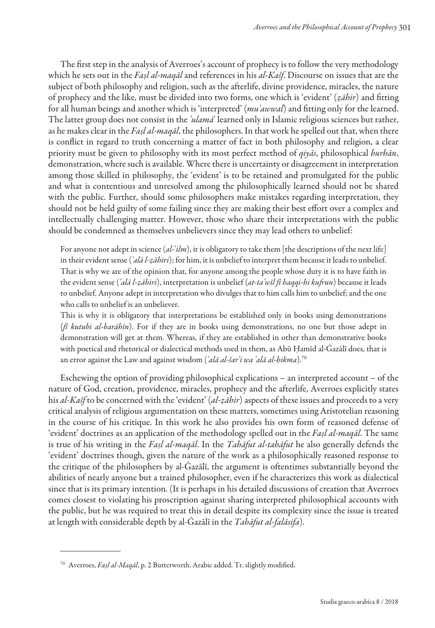The first step in the analysis of Averroes's account of prophecy is to follow the very methodology which he sets out in the Fasl al-maqal and references in his al-Kašf. Discourse on issues that are the subject of both philosophy and religion, such as the afterlife, divine providence, miracles, the nature of prophecy and the like, must be divided into two forms, one which is 'evident' (zāhir) and fitting for all human beings and another which is 'interpreted' (mu'awwal) and fitting only for the learned. The latter group does not consist in the 'ulama' learned only in Islamic religious sciences but rather, as he makes clear in the Faṣl al-maqāl, the philosophers. In that work he spelled out that, when there is conflict in regard to truth concerning a matter of fact in both philosophy and religion, a clear priority must be given to philosophy with its most perfect method of  $qijz\bar{a}$ , philosophical burhān, demonstration, where such is available. Where there is uncertainty or disagreement in interpretation among those skilled in philosophy, the 'evident' is to be retained and promulgated for the public and what is contentious and unresolved among the philosophically learned should not be shared with the public. Further, should some philosophers make mistakes regarding interpretation, they should not be held guilty of some failing since they are making their best efort over a complex and intellectually challenging matter. However, those who share their interpretations with the public should be condemned as themselves unbelievers since they may lead others to unbelief:

For anyone not adept in science  $(al$ - $ilm$ ), it is obligatory to take them [the descriptions of the next life] in their evident sense ( $\hat{a}$ lā l-ẓāhiri); for him, it is unbelief to interpret them because it leads to unbelief. That is why we are of the opinion that, for anyone among the people whose duty it is to have faith in the evident sense ('alā l-zāhiri), interpretation is unbelief (at-ta'wīl fī haqqi-hi kufrun) because it leads to unbelief. Anyone adept in interpretation who divulges that to him calls him to unbelief; and the one who calls to unbelief is an unbeliever.

This is why it is obligatory that interpretations be established only in books using demonstrations (*fi kutubi al-barāhīn*). For if they are in books using demonstrations, no one but those adept in demonstration will get at them. Whereas, if they are established in other than demonstrative books with poetical and rhetorical or dialectical methods used in them, as Abū Ḥamīd al-Ġazālī does, that is an error against the Law and against wisdom ('alā al-šar'i wa 'alā al-ḥikma).<sup>70</sup>

Eschewing the option of providing philosophical explications – an interpreted account – of the nature of God, creation, providence, miracles, prophecy and the afterlife, Averroes explicitly states his al-Kašf to be concerned with the 'evident' (al-zāhir) aspects of these issues and proceeds to a very critical analysis of religious argumentation on these matters, sometimes using Aristotelian reasoning in the course of his critique. In this work he also provides his own form of reasoned defense of 'evident' doctrines as an application of the methodology spelled out in the Faṣl al-maqāl. The same is true of his writing in the Fasl al-maqāl. In the Tahāfut al-tahāfut he also generally defends the 'evident' doctrines though, given the nature of the work as a philosophically reasoned response to the critique of the philosophers by al-Ġazālī, the argument is oftentimes substantially beyond the abilities of nearly anyone but a trained philosopher, even if he characterizes this work as dialectical since that is its primary intention. (It is perhaps in his detailed discussions of creation that Averroes comes closest to violating his proscription against sharing interpreted philosophical accounts with the public, but he was required to treat this in detail despite its complexity since the issue is treated at length with considerable depth by al-Ġazālī in the Tahāfut al-falāsifa).

<sup>&</sup>lt;sup>70</sup> Averroes, Fașl al-Maqāl, p. 2 Butterworth. Arabic added. Tr. slightly modified.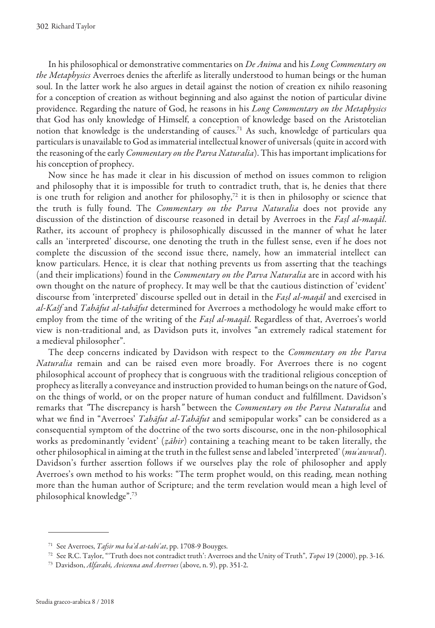In his philosophical or demonstrative commentaries on De Anima and his Long Commentary on the Metaphysics Averroes denies the afterlife as literally understood to human beings or the human soul. In the latter work he also argues in detail against the notion of creation ex nihilo reasoning for a conception of creation as without beginning and also against the notion of particular divine providence. Regarding the nature of God, he reasons in his Long Commentary on the Metaphysics that God has only knowledge of Himself, a conception of knowledge based on the Aristotelian notion that knowledge is the understanding of causes.<sup>71</sup> As such, knowledge of particulars qua particulars is unavailable to God as immaterial intellectual knower of universals (quite in accord with the reasoning of the early *Commentary on the Parva Naturalia*). This has important implications for his conception of prophecy.

Now since he has made it clear in his discussion of method on issues common to religion and philosophy that it is impossible for truth to contradict truth, that is, he denies that there is one truth for religion and another for philosophy,<sup>72</sup> it is then in philosophy or science that the truth is fully found. The Commentary on the Parva Naturalia does not provide any discussion of the distinction of discourse reasoned in detail by Averroes in the Fasl al-maqāl. Rather, its account of prophecy is philosophically discussed in the manner of what he later calls an 'interpreted' discourse, one denoting the truth in the fullest sense, even if he does not complete the discussion of the second issue there, namely, how an immaterial intellect can know particulars. Hence, it is clear that nothing prevents us from asserting that the teachings (and their implications) found in the Commentary on the Parva Naturalia are in accord with his own thought on the nature of prophecy. It may well be that the cautious distinction of 'evident' discourse from 'interpreted' discourse spelled out in detail in the Fasl al-maqal and exercised in al-Kašf and Tahāfut al-tahāfut determined for Averroes a methodology he would make effort to employ from the time of the writing of the *Faṣl al-maqāl*. Regardless of that, Averroes's world view is non-traditional and, as Davidson puts it, involves "an extremely radical statement for a medieval philosopher".

The deep concerns indicated by Davidson with respect to the *Commentary on the Parva* Naturalia remain and can be raised even more broadly. For Averroes there is no cogent philosophical account of prophecy that is congruous with the traditional religious conception of prophecy as literally a conveyance and instruction provided to human beings on the nature of God, on the things of world, or on the proper nature of human conduct and fulillment. Davidson's remarks that "The discrepancy is harsh" between the Commentary on the Parva Naturalia and what we find in "Averroes' Tahāfut al-Tahāfut and semipopular works" can be considered as a consequential symptom of the doctrine of the two sorts discourse, one in the non-philosophical works as predominantly 'evident' ( $z\bar{a}bir$ ) containing a teaching meant to be taken literally, the other philosophical in aiming at the truth in the fullest sense and labeled 'interpreted' (muʾawwal). Davidson's further assertion follows if we ourselves play the role of philosopher and apply Averroes's own method to his works: "The term prophet would, on this reading, mean nothing more than the human author of Scripture; and the term revelation would mean a high level of philosophical knowledge".<sup>73</sup>

<sup>&</sup>lt;sup>71</sup> See Averroes, *Tafsir ma ba'd at-tabi'at*, pp. 1708-9 Bouyges.

<sup>&</sup>lt;sup>72</sup> See R.C. Taylor, "Truth does not contradict truth': Averroes and the Unity of Truth", *Topoi* 19 (2000), pp. 3-16.

<sup>73</sup> Davidson, Alfarabi, Avicenna and Averroes (above, n. 9), pp. 351-2.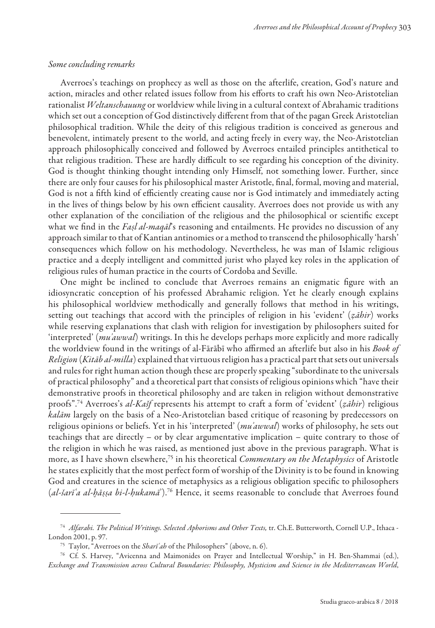#### Some concluding remarks

Averroes's teachings on prophecy as well as those on the afterlife, creation, God's nature and action, miracles and other related issues follow from his efforts to craft his own Neo-Aristotelian rationalist Weltanschauung or worldview while living in a cultural context of Abrahamic traditions which set out a conception of God distinctively diferent from that of the pagan Greek Aristotelian philosophical tradition. While the deity of this religious tradition is conceived as generous and benevolent, intimately present to the world, and acting freely in every way, the Neo-Aristotelian approach philosophically conceived and followed by Averroes entailed principles antithetical to that religious tradition. These are hardly difficult to see regarding his conception of the divinity. God is thought thinking thought intending only Himself, not something lower. Further, since there are only four causes for his philosophical master Aristotle, inal, formal, moving and material, God is not a fifth kind of efficiently creating cause nor is God intimately and immediately acting in the lives of things below by his own efficient causality. Averroes does not provide us with any other explanation of the conciliation of the religious and the philosophical or scientiic except what we find in the Fașl al-maqāl's reasoning and entailments. He provides no discussion of any approach similar to that of Kantian antinomies or a method to transcend the philosophically 'harsh' consequences which follow on his methodology. Nevertheless, he was man of Islamic religious practice and a deeply intelligent and committed jurist who played key roles in the application of religious rules of human practice in the courts of Cordoba and Seville.

One might be inclined to conclude that Averroes remains an enigmatic igure with an idiosyncratic conception of his professed Abrahamic religion. Yet he clearly enough explains his philosophical worldview methodically and generally follows that method in his writings, setting out teachings that accord with the principles of religion in his 'evident' ( $z\bar{a}hir$ ) works while reserving explanations that clash with religion for investigation by philosophers suited for 'interpreted' (muʾawwal) writings. In this he develops perhaps more explicitly and more radically the worldview found in the writings of al-Fārābī who affirmed an afterlife but also in his Book of Religion (Kitāb al-milla) explained that virtuous religion has a practical part that sets out universals and rules for right human action though these are properly speaking "subordinate to the universals of practical philosophy" and a theoretical part that consists of religious opinions which "have their demonstrative proofs in theoretical philosophy and are taken in religion without demonstrative proofs".<sup>74</sup> Averroes's al-Kašf represents his attempt to craft a form of 'evident' (ẓāhir) religious kalām largely on the basis of a Neo-Aristotelian based critique of reasoning by predecessors on religious opinions or beliefs. Yet in his 'interpreted' (muʾawwal) works of philosophy, he sets out teachings that are directly – or by clear argumentative implication – quite contrary to those of the religion in which he was raised, as mentioned just above in the previous paragraph. What is more, as I have shown elsewhere,<sup>75</sup> in his theoretical *Commentary on the Metaphysics* of Aristotle he states explicitly that the most perfect form of worship of the Divinity is to be found in knowing God and creatures in the science of metaphysics as a religious obligation specific to philosophers  $(al$ -šarīʿa al-bāṣṣa bi-l-ḥukamāʾ).<sup>76</sup> Hence, it seems reasonable to conclude that Averroes found

<sup>&</sup>lt;sup>74</sup> Alfarabi. The Political Writings. Selected Aphorisms and Other Texts, tr. Ch.E. Butterworth, Cornell U.P., Ithaca -London 2001, p. 97.

<sup>&</sup>lt;sup>75</sup> Taylor, "Averroes on the *Sharī'ah* of the Philosophers" (above, n. 6).

<sup>76</sup>Cf. S. Harvey, "Avicenna and Maimonides on Prayer and Intellectual Worship," in H. Ben-Shammai (ed.), Exchange and Transmission across Cultural Boundaries: Philosophy, Mysticism and Science in the Mediterranean World,